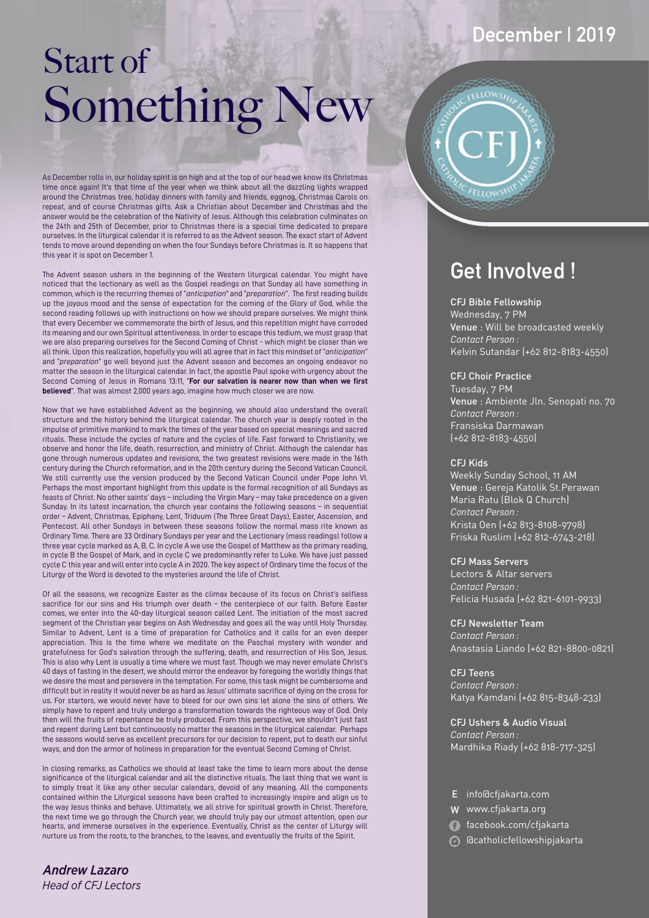# Start of Something New

As December rolls in, our holiday spirit is on high and at the top of our head we know its Christmas time once again! It's that time of the year when we think about all the dazzling lights wrapped around the Christmas tree, holiday dinners with family and friends, eggnog, Christmas Carols on repeat, and of course Christmas gifts. Ask a Christian about December and Christmas and the answer would be the celebration of the Nativity of Jesus. Although this celebration culminates on the 24th and 25th of December, prior to Christmas there is a special time dedicated to prepare ourselves. In the liturgical calendar it is referred to as the Advent season. The exact start of Advent tends to move around depending on when the four Sundays before Christmas is. It so happens that this year it is spot on December 1.

The Advent season ushers in the beginning of the Western liturgical calendar. You might have noticed that the lectionary as well as the Gospel readings on that Sunday all have something in common, which is the recurring themes of "*anticipation*" and "*preparation*". The first reading builds up the joyous mood and the sense of expectation for the coming of the Glory of God, while the second reading follows up with instructions on how we should prepare ourselves. We might think that every December we commemorate the birth of Jesus, and this repetition might have corroded its meaning and our own Spiritual attentiveness. In order to escape this tedium, we must grasp that we are also preparing ourselves for the Second Coming of Christ - which might be closer than we all think. Upon this realization, hopefully you will all agree that in fact this mindset of "*anticipation*" and "*preparation*" go well beyond just the Advent season and becomes an ongoing endeavor no matter the season in the liturgical calendar. In fact, the apostle Paul spoke with urgency about the Second Coming of Jesus in Romans 13:11, "**For our salvation is nearer now than when we first believed**". That was almost 2,000 years ago, imagine how much closer we are now.

Now that we have established Advent as the beginning, we should also understand the overall structure and the history behind the liturgical calendar. The church year is deeply rooted in the impulse of primitive mankind to mark the times of the year based on special meanings and sacred rituals. These include the cycles of nature and the cycles of life. Fast forward to Christianity, we observe and honor the life, death, resurrection, and ministry of Christ. Although the calendar has gone through numerous updates and revisions, the two greatest revisions were made in the 16th century during the Church reformation, and in the 20th century during the Second Vatican Council. We still currently use the version produced by the Second Vatican Council under Pope John VI. Perhaps the most important highlight from this update is the formal recognition of all Sundays as feasts of Christ. No other saints' days – including the Virgin Mary – may take precedence on a given Sunday. In its latest incarnation, the church year contains the following seasons – in sequential order – Advent, Christmas, Epiphany, Lent, Triduum (The Three Great Days), Easter, Ascension, and Pentecost. All other Sundays in between these seasons follow the normal mass rite known as Ordinary Time. There are 33 Ordinary Sundays per year and the Lectionary (mass readings) follow a three year cycle marked as A, B, C. In cycle A we use the Gospel of Matthew as the primary reading, in cycle B the Gospel of Mark, and in cycle C we predominantly refer to Luke. We have just passed cycle C this year and will enter into cycle A in 2020. The key aspect of Ordinary time the focus of the Liturgy of the Word is devoted to the mysteries around the life of Christ.

Of all the seasons, we recognize Easter as the climax because of its focus on Christ's selfless sacrifice for our sins and His triumph over death – the centerpiece of our faith. Before Easter comes, we enter into the 40-day liturgical season called Lent. The initiation of the most sacred segment of the Christian year begins on Ash Wednesday and goes all the way until Holy Thursday. Similar to Advent, Lent is a time of preparation for Catholics and it calls for an even deeper appreciation. This is the time where we meditate on the Paschal mystery with wonder and gratefulness for God's salvation through the suffering, death, and resurrection of His Son, Jesus. This is also why Lent is usually a time where we must fast. Though we may never emulate Christ's 40 days of fasting in the desert, we should mirror the endeavor by foregoing the worldly things that we desire the most and persevere in the temptation. For some, this task might be cumbersome and difficult but in reality it would never be as hard as Jesus' ultimate sacrifice of dying on the cross for us. For starters, we would never have to bleed for our own sins let alone the sins of others. We simply have to repent and truly undergo a transformation towards the righteous way of God. Only then will the fruits of repentance be truly produced. From this perspective, we shouldn't just fast and repent during Lent but continuously no matter the seasons in the liturgical calendar. Perhaps the seasons would serve as excellent precursors for our decision to repent, put to death our sinful ways, and don the armor of holiness in preparation for the eventual Second Coming of Christ.

In closing remarks, as Catholics we should at least take the time to learn more about the dense significance of the liturgical calendar and all the distinctive rituals. The last thing that we want is to simply treat it like any other secular calendars, devoid of any meaning. All the components contained within the Liturgical seasons have been crafted to increasingly inspire and align us to the way Jesus thinks and behave. Ultimately, we all strive for spiritual growth in Christ. Therefore, the next time we go through the Church year, we should truly pay our utmost attention, open our hearts, and immerse ourselves in the experience. Eventually, Christ as the center of Liturgy will nurture us from the roots, to the branches, to the leaves, and eventually the fruits of the Spirit.

*Andrew Lazaro Head of CFJ Lectors*

## **December | 2019**

## **Get Involved !**

#### CFJ Bible Fellowship

Wednesday, 7 PM Venue : Will be broadcasted weekly *Contact Person :* Kelvin Sutandar (+62 812-8183-4550)

#### CFJ Choir Practice

Tuesday, 7 PM Venue : Ambiente Jln. Senopati no. 70 *Contact Person :* Fransiska Darmawan (+62 812-8183-4550)

#### CFJ Kids

Weekly Sunday School, 11 AM Venue : Gereja Katolik St.Perawan *Contact Person :* Krista Oen (+62 813-8108-9798) Friska Ruslim (+62 812-6743-218) Maria Ratu (Blok Q Church)

#### CFJ Mass Servers

Lectors & Altar servers *Contact Person :* Felicia Husada (+62 821-6101-9933)

CFJ Newsletter Team *Contact Person :* Anastasia Liando (+62 821-8800-0821)

CFJ Teens *Contact Person :* Katya Kamdani (+62 815-8348-233)

CFJ Ushers & Audio Visual *Contact Person :* Mardhika Riady (+62 818-717-325)

- E info@cfjakarta.com
- W www.cfjakarta.org
- facebook.com/cfjakarta
- @catholicfellowshipjakarta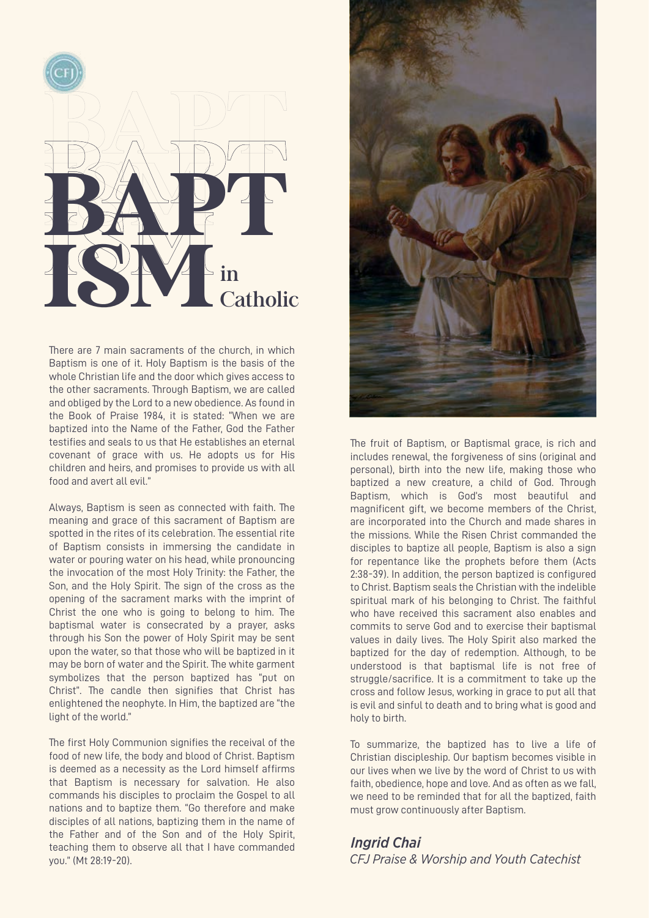

There are 7 main sacraments of the church, in which Baptism is one of it. Holy Baptism is the basis of the whole Christian life and the door which gives access to the other sacraments. Through Baptism, we are called and obliged by the Lord to a new obedience. As found in the Book of Praise 1984, it is stated: "When we are baptized into the Name of the Father, God the Father testifies and seals to us that He establishes an eternal covenant of grace with us. He adopts us for His children and heirs, and promises to provide us with all food and avert all evil."

Always, Baptism is seen as connected with faith. The meaning and grace of this sacrament of Baptism are spotted in the rites of its celebration. The essential rite of Baptism consists in immersing the candidate in water or pouring water on his head, while pronouncing the invocation of the most Holy Trinity: the Father, the Son, and the Holy Spirit. The sign of the cross as the opening of the sacrament marks with the imprint of Christ the one who is going to belong to him. The baptismal water is consecrated by a prayer, asks through his Son the power of Holy Spirit may be sent upon the water, so that those who will be baptized in it may be born of water and the Spirit. The white garment symbolizes that the person baptized has "put on Christ". The candle then signifies that Christ has enlightened the neophyte. In Him, the baptized are "the light of the world."

The first Holy Communion signifies the receival of the food of new life, the body and blood of Christ. Baptism is deemed as a necessity as the Lord himself affirms that Baptism is necessary for salvation. He also commands his disciples to proclaim the Gospel to all nations and to baptize them. "Go therefore and make disciples of all nations, baptizing them in the name of the Father and of the Son and of the Holy Spirit, teaching them to observe all that I have commanded you." (Mt 28:19-20).



The fruit of Baptism, or Baptismal grace, is rich and includes renewal, the forgiveness of sins (original and personal), birth into the new life, making those who baptized a new creature, a child of God. Through Baptism, which is God's most beautiful and magnificent gift, we become members of the Christ, are incorporated into the Church and made shares in the missions. While the Risen Christ commanded the disciples to baptize all people, Baptism is also a sign for repentance like the prophets before them (Acts 2:38-39). In addition, the person baptized is configured to Christ. Baptism seals the Christian with the indelible spiritual mark of his belonging to Christ. The faithful who have received this sacrament also enables and commits to serve God and to exercise their baptismal values in daily lives. The Holy Spirit also marked the baptized for the day of redemption. Although, to be understood is that baptismal life is not free of struggle/sacrifice. It is a commitment to take up the cross and follow Jesus, working in grace to put all that is evil and sinful to death and to bring what is good and holy to birth.

To summarize, the baptized has to live a life of Christian discipleship. Our baptism becomes visible in our lives when we live by the word of Christ to us with faith, obedience, hope and love. And as often as we fall. we need to be reminded that for all the baptized, faith must grow continuously after Baptism.

*CFJ Praise & Worship and Youth Catechist Ingrid Chai*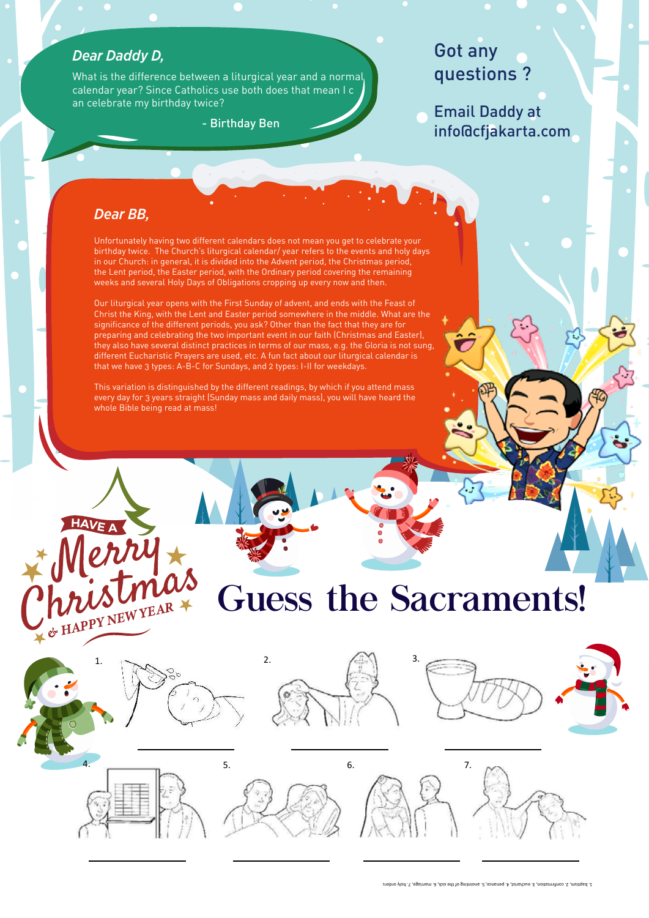#### *Dear Daddy D,*

What is the difference between a liturgical year and a normal calendar year? Since Catholics use both does that mean I c an celebrate my birthday twice?

- Birthday Ben

### Got any questions ?

Email Daddy at info@cfjakarta.com

#### *Dear BB,*

ent calendars does not mean you get to celebrate your<br>urgical calendar/ year refers to the events and holy da<sub>.</sub><br>ivided into the Advent period, the Christmas period,<br>od, with the Ordinary period covering the remaining we London and State Background with the Statisty portour construction.<br>Weeks and several Holy Days of Obligations cropping up every now and then. Unfortunately having two different calendars does not mean you get to celebrate your birthday twice. The Church's liturgical calendar/ year refers to the events and holy days in our Church: in general, it is divided into the Advent period, the Christmas period, the Lent period, the Easter period, with the Ordinary period covering the remaining

Our liturgical year opens with the First Sunday of advent, and ends with the Feast of Christ the King, with the Lent and Easter period somewhere in the middle. What are the significance of the different periods, you ask? Other than the fact that they are for preparing and celebrating the two important event in our faith (Christmas and Easter), they also have several distinct practices in terms of our mass, e.g. the Gloria is not sung, different Eucharistic Prayers are used, etc. A fun fact about our liturgical calendar is that we have 3 types: A-B-C for Sundays, and 2 types: I-II for weekdays.

This variation is distinguished by the different readings, by which if you attend mass every day for 3 years straight (Sunday mass and daily mass), you will have heard the whole Bible being read at mass!

# Guess the Sacraments!



WUSLINTEAR









1. baptism, 2. confirmation, 3. eucharist, 4. penance, 5. anointing of the sick, 6. marriage, 7. holy orders